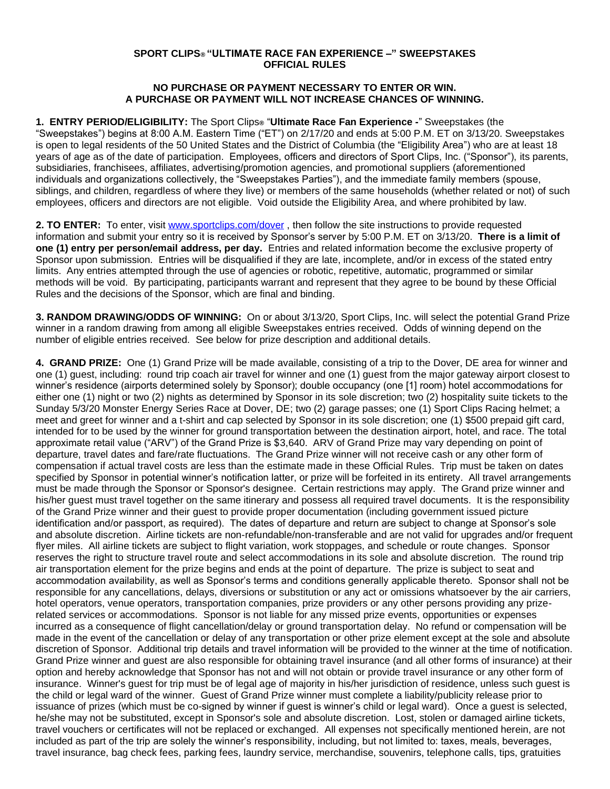## **SPORT CLIPS® "ULTIMATE RACE FAN EXPERIENCE –" SWEEPSTAKES OFFICIAL RULES**

## **NO PURCHASE OR PAYMENT NECESSARY TO ENTER OR WIN. A PURCHASE OR PAYMENT WILL NOT INCREASE CHANCES OF WINNING.**

**1. ENTRY PERIOD/ELIGIBILITY:** The Sport Clips**®** "**Ultimate Race Fan Experience -**" Sweepstakes (the "Sweepstakes") begins at 8:00 A.M. Eastern Time ("ET") on 2/17/20 and ends at 5:00 P.M. ET on 3/13/20. Sweepstakes is open to legal residents of the 50 United States and the District of Columbia (the "Eligibility Area") who are at least 18 years of age as of the date of participation. Employees, officers and directors of Sport Clips, Inc. ("Sponsor"), its parents, subsidiaries, franchisees, affiliates, advertising/promotion agencies, and promotional suppliers (aforementioned individuals and organizations collectively, the "Sweepstakes Parties"), and the immediate family members (spouse, siblings, and children, regardless of where they live) or members of the same households (whether related or not) of such employees, officers and directors are not eligible. Void outside the Eligibility Area, and where prohibited by law.

**2. TO ENTER:** To enter, visit [www.sportclips.com/dover](http://www.sportclips.com/dover) , then follow the site instructions to provide requested information and submit your entry so it is received by Sponsor's server by 5:00 P.M. ET on 3/13/20. **There is a limit of one (1) entry per person/email address, per day.** Entries and related information become the exclusive property of Sponsor upon submission. Entries will be disqualified if they are late, incomplete, and/or in excess of the stated entry limits. Any entries attempted through the use of agencies or robotic, repetitive, automatic, programmed or similar methods will be void. By participating, participants warrant and represent that they agree to be bound by these Official Rules and the decisions of the Sponsor, which are final and binding.

**3. RANDOM DRAWING/ODDS OF WINNING:** On or about 3/13/20, Sport Clips, Inc. will select the potential Grand Prize winner in a random drawing from among all eligible Sweepstakes entries received. Odds of winning depend on the number of eligible entries received. See below for prize description and additional details.

**4. GRAND PRIZE:** One (1) Grand Prize will be made available, consisting of a trip to the Dover, DE area for winner and one (1) guest, including: round trip coach air travel for winner and one (1) guest from the major gateway airport closest to winner's residence (airports determined solely by Sponsor); double occupancy (one [1] room) hotel accommodations for either one (1) night or two (2) nights as determined by Sponsor in its sole discretion; two (2) hospitality suite tickets to the Sunday 5/3/20 Monster Energy Series Race at Dover, DE; two (2) garage passes; one (1) Sport Clips Racing helmet; a meet and greet for winner and a t-shirt and cap selected by Sponsor in its sole discretion; one (1) \$500 prepaid gift card, intended for to be used by the winner for ground transportation between the destination airport, hotel, and race. The total approximate retail value ("ARV") of the Grand Prize is \$3,640. ARV of Grand Prize may vary depending on point of departure, travel dates and fare/rate fluctuations. The Grand Prize winner will not receive cash or any other form of compensation if actual travel costs are less than the estimate made in these Official Rules. Trip must be taken on dates specified by Sponsor in potential winner's notification latter, or prize will be forfeited in its entirety. All travel arrangements must be made through the Sponsor or Sponsor's designee. Certain restrictions may apply. The Grand prize winner and his/her guest must travel together on the same itinerary and possess all required travel documents. It is the responsibility of the Grand Prize winner and their guest to provide proper documentation (including government issued picture identification and/or passport, as required). The dates of departure and return are subject to change at Sponsor's sole and absolute discretion. Airline tickets are non-refundable/non-transferable and are not valid for upgrades and/or frequent flyer miles. All airline tickets are subject to flight variation, work stoppages, and schedule or route changes. Sponsor reserves the right to structure travel route and select accommodations in its sole and absolute discretion. The round trip air transportation element for the prize begins and ends at the point of departure. The prize is subject to seat and accommodation availability, as well as Sponsor's terms and conditions generally applicable thereto. Sponsor shall not be responsible for any cancellations, delays, diversions or substitution or any act or omissions whatsoever by the air carriers, hotel operators, venue operators, transportation companies, prize providers or any other persons providing any prizerelated services or accommodations. Sponsor is not liable for any missed prize events, opportunities or expenses incurred as a consequence of flight cancellation/delay or ground transportation delay. No refund or compensation will be made in the event of the cancellation or delay of any transportation or other prize element except at the sole and absolute discretion of Sponsor. Additional trip details and travel information will be provided to the winner at the time of notification. Grand Prize winner and guest are also responsible for obtaining travel insurance (and all other forms of insurance) at their option and hereby acknowledge that Sponsor has not and will not obtain or provide travel insurance or any other form of insurance. Winner's guest for trip must be of legal age of majority in his/her jurisdiction of residence, unless such guest is the child or legal ward of the winner. Guest of Grand Prize winner must complete a liability/publicity release prior to issuance of prizes (which must be co-signed by winner if guest is winner's child or legal ward). Once a guest is selected, he/she may not be substituted, except in Sponsor's sole and absolute discretion. Lost, stolen or damaged airline tickets, travel vouchers or certificates will not be replaced or exchanged. All expenses not specifically mentioned herein, are not included as part of the trip are solely the winner's responsibility, including, but not limited to: taxes, meals, beverages, travel insurance, bag check fees, parking fees, laundry service, merchandise, souvenirs, telephone calls, tips, gratuities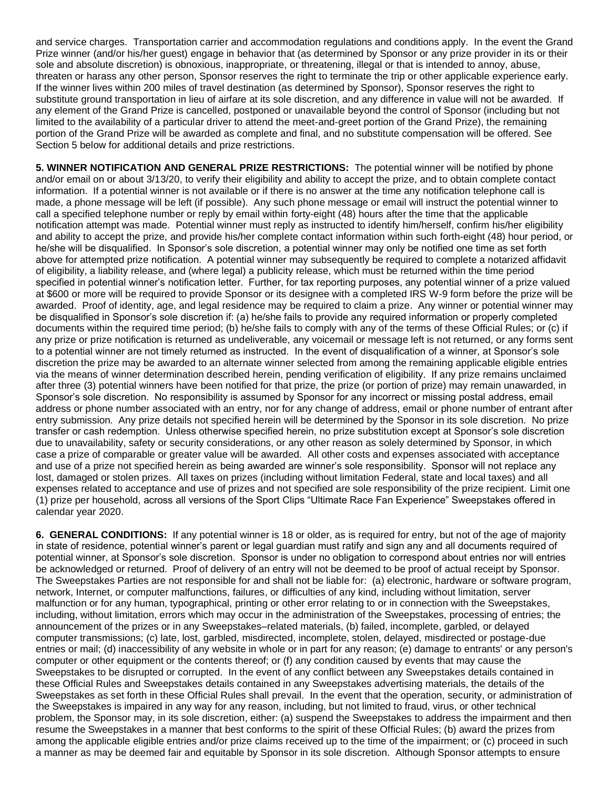and service charges. Transportation carrier and accommodation regulations and conditions apply. In the event the Grand Prize winner (and/or his/her guest) engage in behavior that (as determined by Sponsor or any prize provider in its or their sole and absolute discretion) is obnoxious, inappropriate, or threatening, illegal or that is intended to annoy, abuse, threaten or harass any other person, Sponsor reserves the right to terminate the trip or other applicable experience early. If the winner lives within 200 miles of travel destination (as determined by Sponsor), Sponsor reserves the right to substitute ground transportation in lieu of airfare at its sole discretion, and any difference in value will not be awarded. If any element of the Grand Prize is cancelled, postponed or unavailable beyond the control of Sponsor (including but not limited to the availability of a particular driver to attend the meet-and-greet portion of the Grand Prize), the remaining portion of the Grand Prize will be awarded as complete and final, and no substitute compensation will be offered. See Section 5 below for additional details and prize restrictions.

**5. WINNER NOTIFICATION AND GENERAL PRIZE RESTRICTIONS:** The potential winner will be notified by phone and/or email on or about 3/13/20, to verify their eligibility and ability to accept the prize, and to obtain complete contact information. If a potential winner is not available or if there is no answer at the time any notification telephone call is made, a phone message will be left (if possible). Any such phone message or email will instruct the potential winner to call a specified telephone number or reply by email within forty-eight (48) hours after the time that the applicable notification attempt was made. Potential winner must reply as instructed to identify him/herself, confirm his/her eligibility and ability to accept the prize, and provide his/her complete contact information within such forth-eight (48) hour period, or he/she will be disqualified. In Sponsor's sole discretion, a potential winner may only be notified one time as set forth above for attempted prize notification. A potential winner may subsequently be required to complete a notarized affidavit of eligibility, a liability release, and (where legal) a publicity release, which must be returned within the time period specified in potential winner's notification letter. Further, for tax reporting purposes, any potential winner of a prize valued at \$600 or more will be required to provide Sponsor or its designee with a completed IRS W-9 form before the prize will be awarded. Proof of identity, age, and legal residence may be required to claim a prize. Any winner or potential winner may be disqualified in Sponsor's sole discretion if: (a) he/she fails to provide any required information or properly completed documents within the required time period; (b) he/she fails to comply with any of the terms of these Official Rules; or (c) if any prize or prize notification is returned as undeliverable, any voicemail or message left is not returned, or any forms sent to a potential winner are not timely returned as instructed. In the event of disqualification of a winner, at Sponsor's sole discretion the prize may be awarded to an alternate winner selected from among the remaining applicable eligible entries via the means of winner determination described herein, pending verification of eligibility. If any prize remains unclaimed after three (3) potential winners have been notified for that prize, the prize (or portion of prize) may remain unawarded, in Sponsor's sole discretion. No responsibility is assumed by Sponsor for any incorrect or missing postal address, email address or phone number associated with an entry, nor for any change of address, email or phone number of entrant after entry submission. Any prize details not specified herein will be determined by the Sponsor in its sole discretion. No prize transfer or cash redemption. Unless otherwise specified herein, no prize substitution except at Sponsor's sole discretion due to unavailability, safety or security considerations, or any other reason as solely determined by Sponsor, in which case a prize of comparable or greater value will be awarded. All other costs and expenses associated with acceptance and use of a prize not specified herein as being awarded are winner's sole responsibility. Sponsor will not replace any lost, damaged or stolen prizes. All taxes on prizes (including without limitation Federal, state and local taxes) and all expenses related to acceptance and use of prizes and not specified are sole responsibility of the prize recipient. Limit one (1) prize per household, across all versions of the Sport Clips "Ultimate Race Fan Experience" Sweepstakes offered in calendar year 2020.

**6. GENERAL CONDITIONS:** If any potential winner is 18 or older, as is required for entry, but not of the age of majority in state of residence, potential winner's parent or legal guardian must ratify and sign any and all documents required of potential winner, at Sponsor's sole discretion. Sponsor is under no obligation to correspond about entries nor will entries be acknowledged or returned. Proof of delivery of an entry will not be deemed to be proof of actual receipt by Sponsor. The Sweepstakes Parties are not responsible for and shall not be liable for: (a) electronic, hardware or software program, network, Internet, or computer malfunctions, failures, or difficulties of any kind, including without limitation, server malfunction or for any human, typographical, printing or other error relating to or in connection with the Sweepstakes, including, without limitation, errors which may occur in the administration of the Sweepstakes, processing of entries; the announcement of the prizes or in any Sweepstakes–related materials, (b) failed, incomplete, garbled, or delayed computer transmissions; (c) late, lost, garbled, misdirected, incomplete, stolen, delayed, misdirected or postage-due entries or mail; (d) inaccessibility of any website in whole or in part for any reason; (e) damage to entrants' or any person's computer or other equipment or the contents thereof; or (f) any condition caused by events that may cause the Sweepstakes to be disrupted or corrupted. In the event of any conflict between any Sweepstakes details contained in these Official Rules and Sweepstakes details contained in any Sweepstakes advertising materials, the details of the Sweepstakes as set forth in these Official Rules shall prevail. In the event that the operation, security, or administration of the Sweepstakes is impaired in any way for any reason, including, but not limited to fraud, virus, or other technical problem, the Sponsor may, in its sole discretion, either: (a) suspend the Sweepstakes to address the impairment and then resume the Sweepstakes in a manner that best conforms to the spirit of these Official Rules; (b) award the prizes from among the applicable eligible entries and/or prize claims received up to the time of the impairment; or (c) proceed in such a manner as may be deemed fair and equitable by Sponsor in its sole discretion. Although Sponsor attempts to ensure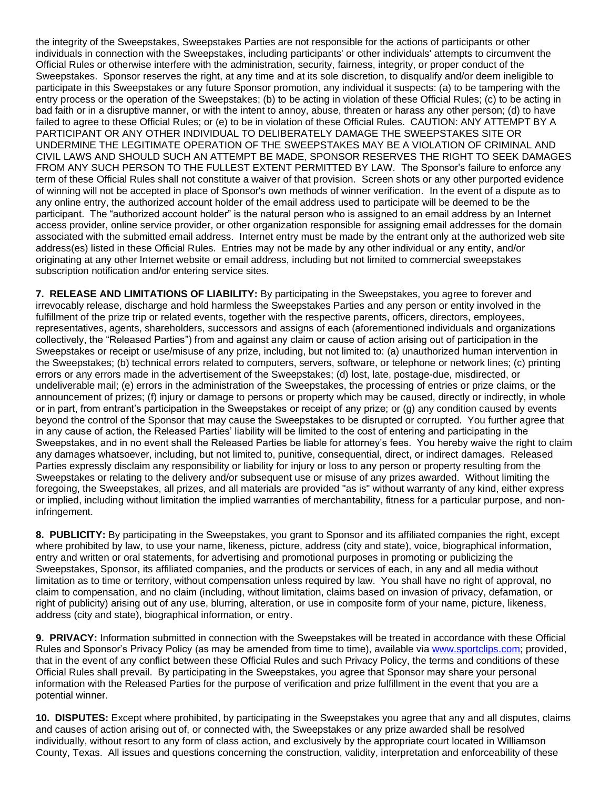the integrity of the Sweepstakes, Sweepstakes Parties are not responsible for the actions of participants or other individuals in connection with the Sweepstakes, including participants' or other individuals' attempts to circumvent the Official Rules or otherwise interfere with the administration, security, fairness, integrity, or proper conduct of the Sweepstakes. Sponsor reserves the right, at any time and at its sole discretion, to disqualify and/or deem ineligible to participate in this Sweepstakes or any future Sponsor promotion, any individual it suspects: (a) to be tampering with the entry process or the operation of the Sweepstakes; (b) to be acting in violation of these Official Rules; (c) to be acting in bad faith or in a disruptive manner, or with the intent to annoy, abuse, threaten or harass any other person; (d) to have failed to agree to these Official Rules; or (e) to be in violation of these Official Rules. CAUTION: ANY ATTEMPT BY A PARTICIPANT OR ANY OTHER INDIVIDUAL TO DELIBERATELY DAMAGE THE SWEEPSTAKES SITE OR UNDERMINE THE LEGITIMATE OPERATION OF THE SWEEPSTAKES MAY BE A VIOLATION OF CRIMINAL AND CIVIL LAWS AND SHOULD SUCH AN ATTEMPT BE MADE, SPONSOR RESERVES THE RIGHT TO SEEK DAMAGES FROM ANY SUCH PERSON TO THE FULLEST EXTENT PERMITTED BY LAW. The Sponsor's failure to enforce any term of these Official Rules shall not constitute a waiver of that provision. Screen shots or any other purported evidence of winning will not be accepted in place of Sponsor's own methods of winner verification. In the event of a dispute as to any online entry, the authorized account holder of the email address used to participate will be deemed to be the participant. The "authorized account holder" is the natural person who is assigned to an email address by an Internet access provider, online service provider, or other organization responsible for assigning email addresses for the domain associated with the submitted email address. Internet entry must be made by the entrant only at the authorized web site address(es) listed in these Official Rules. Entries may not be made by any other individual or any entity, and/or originating at any other Internet website or email address, including but not limited to commercial sweepstakes subscription notification and/or entering service sites.

**7. RELEASE AND LIMITATIONS OF LIABILITY:** By participating in the Sweepstakes, you agree to forever and irrevocably release, discharge and hold harmless the Sweepstakes Parties and any person or entity involved in the fulfillment of the prize trip or related events, together with the respective parents, officers, directors, employees, representatives, agents, shareholders, successors and assigns of each (aforementioned individuals and organizations collectively, the "Released Parties") from and against any claim or cause of action arising out of participation in the Sweepstakes or receipt or use/misuse of any prize, including, but not limited to: (a) unauthorized human intervention in the Sweepstakes; (b) technical errors related to computers, servers, software, or telephone or network lines; (c) printing errors or any errors made in the advertisement of the Sweepstakes; (d) lost, late, postage-due, misdirected, or undeliverable mail; (e) errors in the administration of the Sweepstakes, the processing of entries or prize claims, or the announcement of prizes; (f) injury or damage to persons or property which may be caused, directly or indirectly, in whole or in part, from entrant's participation in the Sweepstakes or receipt of any prize; or (g) any condition caused by events beyond the control of the Sponsor that may cause the Sweepstakes to be disrupted or corrupted. You further agree that in any cause of action, the Released Parties' liability will be limited to the cost of entering and participating in the Sweepstakes, and in no event shall the Released Parties be liable for attorney's fees. You hereby waive the right to claim any damages whatsoever, including, but not limited to, punitive, consequential, direct, or indirect damages. Released Parties expressly disclaim any responsibility or liability for injury or loss to any person or property resulting from the Sweepstakes or relating to the delivery and/or subsequent use or misuse of any prizes awarded. Without limiting the foregoing, the Sweepstakes, all prizes, and all materials are provided "as is" without warranty of any kind, either express or implied, including without limitation the implied warranties of merchantability, fitness for a particular purpose, and noninfringement.

**8. PUBLICITY:** By participating in the Sweepstakes, you grant to Sponsor and its affiliated companies the right, except where prohibited by law, to use your name, likeness, picture, address (city and state), voice, biographical information, entry and written or oral statements, for advertising and promotional purposes in promoting or publicizing the Sweepstakes, Sponsor, its affiliated companies, and the products or services of each, in any and all media without limitation as to time or territory, without compensation unless required by law. You shall have no right of approval, no claim to compensation, and no claim (including, without limitation, claims based on invasion of privacy, defamation, or right of publicity) arising out of any use, blurring, alteration, or use in composite form of your name, picture, likeness, address (city and state), biographical information, or entry.

**9. PRIVACY:** Information submitted in connection with the Sweepstakes will be treated in accordance with these Official Rules and Sponsor's Privacy Policy (as may be amended from time to time), available via [www.sportclips.com;](http://www.sportclips.com/) provided, that in the event of any conflict between these Official Rules and such Privacy Policy, the terms and conditions of these Official Rules shall prevail. By participating in the Sweepstakes, you agree that Sponsor may share your personal information with the Released Parties for the purpose of verification and prize fulfillment in the event that you are a potential winner.

**10. DISPUTES:** Except where prohibited, by participating in the Sweepstakes you agree that any and all disputes, claims and causes of action arising out of, or connected with, the Sweepstakes or any prize awarded shall be resolved individually, without resort to any form of class action, and exclusively by the appropriate court located in Williamson County, Texas. All issues and questions concerning the construction, validity, interpretation and enforceability of these